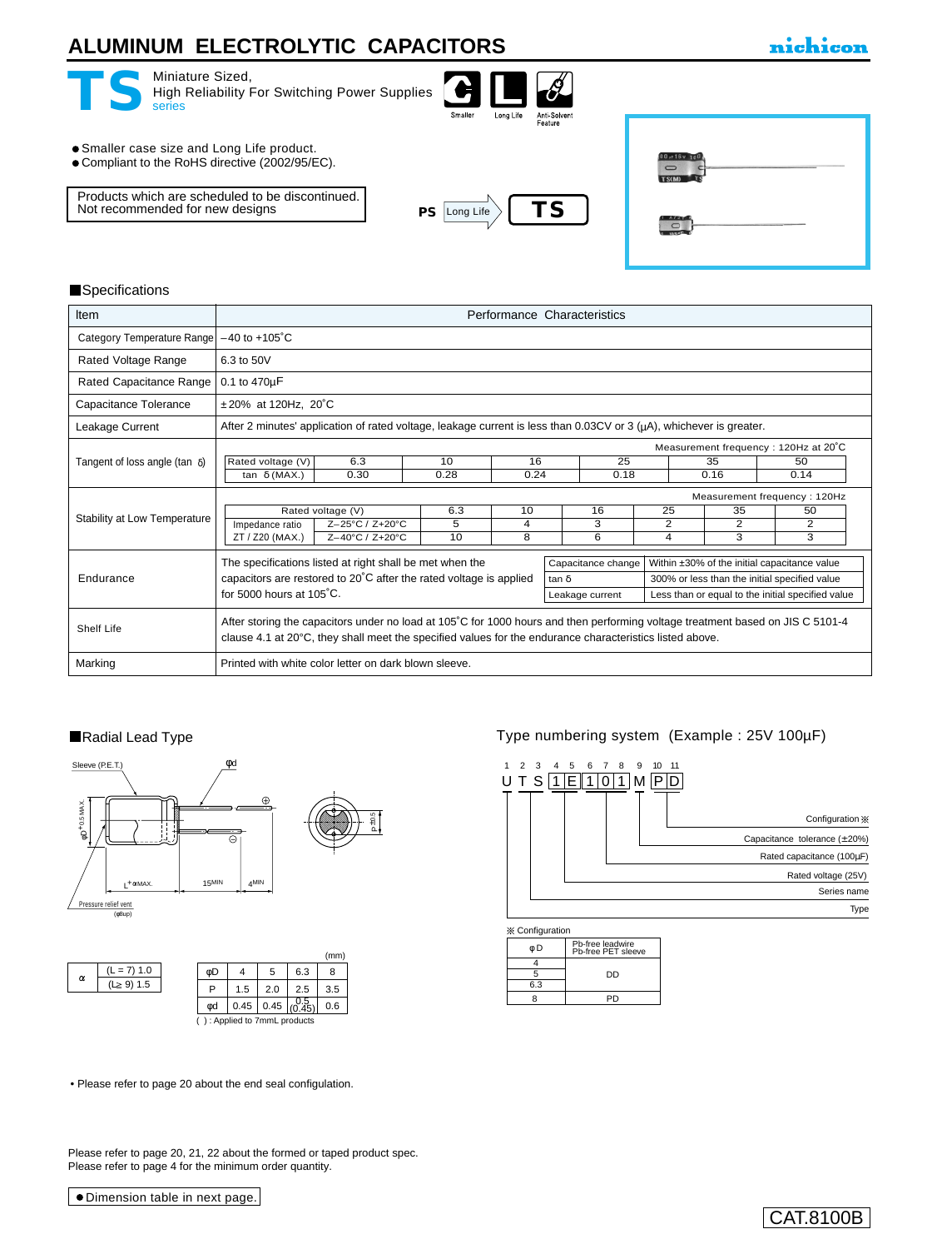## **ALUMINUM ELECTROLYTIC CAPACITORS**

| Miniature Sized,<br>High Reliability For Switching Power Supplies<br>series                   | Smaller   | Long Life | Anti-Solvent<br>Feature |                |
|-----------------------------------------------------------------------------------------------|-----------|-----------|-------------------------|----------------|
| • Smaller case size and Long Life product.<br>• Compliant to the RoHS directive (2002/95/EC). |           |           |                         | TS(M)          |
| Products which are scheduled to be discontinued.<br>Not recommended for new designs<br>PS.    | Long Life |           | тs                      | <b>Art and</b> |
|                                                                                               |           |           |                         |                |

#### **Specifications**

| <b>Item</b>                                                                                                 |                                                                              |                                                                                                                           |      | Performance Characteristics |                                                                                                                                                                                                                                                                                                                                                                                                                                                                           |      |                                      |      |   |
|-------------------------------------------------------------------------------------------------------------|------------------------------------------------------------------------------|---------------------------------------------------------------------------------------------------------------------------|------|-----------------------------|---------------------------------------------------------------------------------------------------------------------------------------------------------------------------------------------------------------------------------------------------------------------------------------------------------------------------------------------------------------------------------------------------------------------------------------------------------------------------|------|--------------------------------------|------|---|
| Category Temperature Range                                                                                  | $-40$ to $+105^{\circ}$ C                                                    |                                                                                                                           |      |                             |                                                                                                                                                                                                                                                                                                                                                                                                                                                                           |      |                                      |      |   |
| Rated Voltage Range                                                                                         | 6.3 to 50V                                                                   |                                                                                                                           |      |                             |                                                                                                                                                                                                                                                                                                                                                                                                                                                                           |      |                                      |      |   |
| Rated Capacitance Range                                                                                     | 0.1 to 470uF                                                                 |                                                                                                                           |      |                             |                                                                                                                                                                                                                                                                                                                                                                                                                                                                           |      |                                      |      |   |
| Capacitance Tolerance                                                                                       | ±20% at 120Hz, 20°C                                                          |                                                                                                                           |      |                             |                                                                                                                                                                                                                                                                                                                                                                                                                                                                           |      |                                      |      |   |
| Leakage Current                                                                                             |                                                                              | After 2 minutes' application of rated voltage, leakage current is less than 0.03CV or 3 ( $\mu$ A), whichever is greater. |      |                             |                                                                                                                                                                                                                                                                                                                                                                                                                                                                           |      |                                      |      |   |
|                                                                                                             | Measurement frequency: 120Hz at 20°C                                         |                                                                                                                           |      |                             |                                                                                                                                                                                                                                                                                                                                                                                                                                                                           |      |                                      |      |   |
| Tangent of loss angle (tan $\delta$ )<br>Stability at Low Temperature<br>Endurance<br>Shelf Life<br>Marking | Rated voltage (V)<br>16<br>6.3<br>10                                         |                                                                                                                           |      |                             | 25                                                                                                                                                                                                                                                                                                                                                                                                                                                                        |      | 35                                   | 50   |   |
|                                                                                                             | tan $\delta$ (MAX.)                                                          | 0.30                                                                                                                      | 0.28 | 0.24                        |                                                                                                                                                                                                                                                                                                                                                                                                                                                                           | 0.18 | 0.16<br>25<br>35<br>2<br>2<br>3<br>4 | 0.14 |   |
|                                                                                                             |                                                                              |                                                                                                                           |      |                             |                                                                                                                                                                                                                                                                                                                                                                                                                                                                           |      |                                      |      |   |
|                                                                                                             |                                                                              | Rated voltage (V)                                                                                                         | 6.3  | 10                          |                                                                                                                                                                                                                                                                                                                                                                                                                                                                           | 16   |                                      | 50   |   |
|                                                                                                             | Impedance ratio                                                              | Z-25°C / Z+20°C                                                                                                           | 5    | 4                           |                                                                                                                                                                                                                                                                                                                                                                                                                                                                           | 3    |                                      |      | 2 |
|                                                                                                             | ZT / Z20 (MAX.)                                                              | Z-40°C / Z+20°C                                                                                                           | 10   | 8                           |                                                                                                                                                                                                                                                                                                                                                                                                                                                                           | 6    |                                      |      | 3 |
|                                                                                                             | The specifications listed at right shall be met when the                     |                                                                                                                           |      |                             |                                                                                                                                                                                                                                                                                                                                                                                                                                                                           |      |                                      |      |   |
|                                                                                                             | capacitors are restored to $20^{\circ}$ C after the rated voltage is applied |                                                                                                                           |      |                             | tan δ                                                                                                                                                                                                                                                                                                                                                                                                                                                                     |      |                                      |      |   |
|                                                                                                             | for 5000 hours at $105^{\circ}$ C.                                           |                                                                                                                           |      |                             | Measurement frequency: 120Hz<br>Capacitance change<br>Within ±30% of the initial capacitance value<br>300% or less than the initial specified value<br>Less than or equal to the initial specified value<br>Leakage current<br>After storing the capacitors under no load at 105°C for 1000 hours and then performing voltage treatment based on JIS C 5101-4<br>clause 4.1 at 20°C, they shall meet the specified values for the endurance characteristics listed above. |      |                                      |      |   |
|                                                                                                             |                                                                              |                                                                                                                           |      |                             |                                                                                                                                                                                                                                                                                                                                                                                                                                                                           |      |                                      |      |   |
|                                                                                                             | Printed with white color letter on dark blown sleeve.                        |                                                                                                                           |      |                             |                                                                                                                                                                                                                                                                                                                                                                                                                                                                           |      |                                      |      |   |



|  | л. | = 7) 1.0 |
|--|----|----------|
|  |    | : 9) 1.5 |

| (mm) |                            |     |                                                       |     |  |  |  |  |
|------|----------------------------|-----|-------------------------------------------------------|-----|--|--|--|--|
| øD   |                            | 5   | 6.3                                                   | 8   |  |  |  |  |
| P    | 1.5                        | 2.0 | 2.5                                                   | 3.5 |  |  |  |  |
| ød   | 0.45                       |     | $0.45 \mid \begin{matrix} 0.5 \\ (0.45) \end{matrix}$ | 0.6 |  |  |  |  |
|      | : Applied to 7mmL products |     |                                                       |     |  |  |  |  |

■Radial Lead Type **Type numbering system** (Example : 25V 100µF)



Configuration



• [Please refer to page 20 about the end seal configulation.](e-fuko.pdf)

Please refer to page 20, 21, 22 about the formed or taped product spec. Please refer to page 4 for the minimum order quantity.